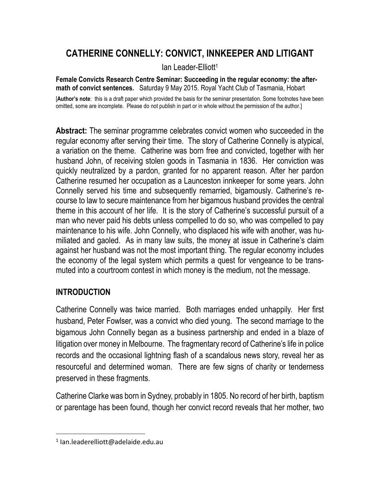# **CATHERINE CONNELLY: CONVICT, INNKEEPER AND LITIGANT**

Ian Leader-Elliott<sup>1</sup>

**Female Convicts Research Centre Seminar: Succeeding in the regular economy: the aftermath of convict sentences.** Saturday 9 May 2015. Royal Yacht Club of Tasmania, Hobart

[**Author's note**: this is a draft paper which provided the basis for the seminar presentation. Some footnotes have been omitted, some are incomplete. Please do not publish in part or in whole without the permission of the author.]

**Abstract:** The seminar programme celebrates convict women who succeeded in the regular economy after serving their time. The story of Catherine Connelly is atypical, a variation on the theme. Catherine was born free and convicted, together with her husband John, of receiving stolen goods in Tasmania in 1836. Her conviction was quickly neutralized by a pardon, granted for no apparent reason. After her pardon Catherine resumed her occupation as a Launceston innkeeper for some years. John Connelly served his time and subsequently remarried, bigamously. Catherine's recourse to law to secure maintenance from her bigamous husband provides the central theme in this account of her life. It is the story of Catherine's successful pursuit of a man who never paid his debts unless compelled to do so, who was compelled to pay maintenance to his wife. John Connelly, who displaced his wife with another, was humiliated and gaoled. As in many law suits, the money at issue in Catherine's claim against her husband was not the most important thing. The regular economy includes the economy of the legal system which permits a quest for vengeance to be transmuted into a courtroom contest in which money is the medium, not the message.

#### **INTRODUCTION**

Catherine Connelly was twice married. Both marriages ended unhappily. Her first husband, Peter Fowlser, was a convict who died young. The second marriage to the bigamous John Connelly began as a business partnership and ended in a blaze of litigation over money in Melbourne. The fragmentary record of Catherine's life in police records and the occasional lightning flash of a scandalous news story, reveal her as resourceful and determined woman. There are few signs of charity or tenderness preserved in these fragments.

Catherine Clarke was born in Sydney, probably in 1805. No record of her birth, baptism or parentage has been found, though her convict record reveals that her mother, two

<sup>1</sup> Ian.leaderelliott@adelaide.edu.au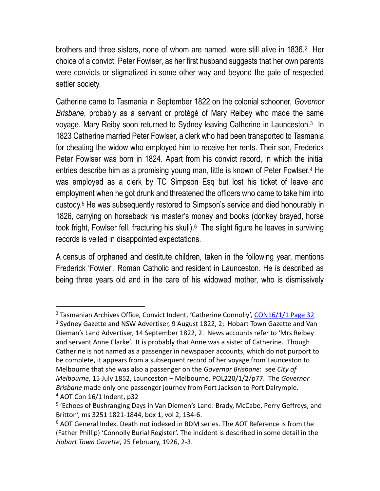brothers and three sisters, none of whom are named, were still alive in 1836.<sup>2</sup> Her choice of a convict, Peter Fowlser, as her first husband suggests that her own parents were convicts or stigmatized in some other way and beyond the pale of respected settler society.

Catherine came to Tasmania in September 1822 on the colonial schooner, *Governor Brisbane*, probably as a servant or protégé of Mary Reibey who made the same voyage. Mary Reiby soon returned to Sydney leaving Catherine in Launceston.<sup>3</sup> In 1823 Catherine married Peter Fowlser, a clerk who had been transported to Tasmania for cheating the widow who employed him to receive her rents. Their son, Frederick Peter Fowlser was born in 1824. Apart from his convict record, in which the initial entries describe him as a promising young man, little is known of Peter Fowlser.<sup>4</sup> He was employed as a clerk by TC Simpson Esq but lost his ticket of leave and employment when he got drunk and threatened the officers who came to take him into custody.<sup>5</sup> He was subsequently restored to Simpson's service and died honourably in 1826, carrying on horseback his master's money and books (donkey brayed, horse took fright, Fowlser fell, fracturing his skull).<sup>6</sup> The slight figure he leaves in surviving records is veiled in disappointed expectations.

A census of orphaned and destitute children, taken in the following year, mentions Frederick 'Fowler', Roman Catholic and resident in Launceston. He is described as being three years old and in the care of his widowed mother, who is dismissively

<sup>&</sup>lt;sup>2</sup> Tasmanian Archives Office, Convict Indent, 'Catherine Connolly', [CON16/1/1 Page 32](http://search.archives.tas.gov.au/ImageViewer/image_viewer.htm?CON16-1-1,254,36,F,60),

 $3$  Sydney Gazette and NSW Advertiser, 9 August 1822, 2; Hobart Town Gazette and Van Dieman's Land Advertiser, 14 September 1822, 2. News accounts refer to 'Mrs Reibey and servant Anne Clarke'. It is probably that Anne was a sister of Catherine. Though Catherine is not named as a passenger in newspaper accounts, which do not purport to be complete, it appears from a subsequent record of her voyage from Launceston to Melbourne that she was also a passenger on the *Governor Brisbane*: see *City of Melbourne*, 15 July 1852, Launceston – Melbourne, POL220/1/2/p77. The *Governor Brisbane* made only one passenger journey from Port Jackson to Port Dalrymple. <sup>4</sup> AOT Con 16/1 Indent, p32

<sup>&</sup>lt;sup>5</sup> 'Echoes of Bushranging Days in Van Diemen's Land: Brady, McCabe, Perry Geffreys, and Britton', ms 3251 1821-1844, box 1, vol 2, 134-6.

<sup>&</sup>lt;sup>6</sup> AOT General Index. Death not indexed in BDM series. The AOT Reference is from the (Father Phillip) 'Connolly Burial Register'. The incident is described in some detail in the *Hobart Town Gazette*, 25 February, 1926, 2-3.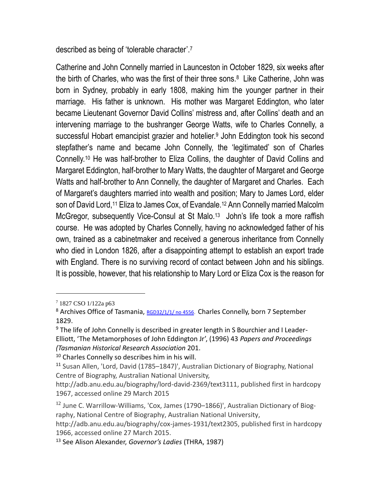described as being of 'tolerable character'.<sup>7</sup>

Catherine and John Connelly married in Launceston in October 1829, six weeks after the birth of Charles, who was the first of their three sons.<sup>8</sup> Like Catherine, John was born in Sydney, probably in early 1808, making him the younger partner in their marriage. His father is unknown. His mother was Margaret Eddington, who later became Lieutenant Governor David Collins' mistress and, after Collins' death and an intervening marriage to the bushranger George Watts, wife to Charles Connelly, a successful Hobart emancipist grazier and hotelier.<sup>9</sup> John Eddington took his second stepfather's name and became John Connelly, the 'legitimated' son of Charles Connelly.<sup>10</sup> He was half-brother to Eliza Collins, the daughter of David Collins and Margaret Eddington, half-brother to Mary Watts, the daughter of Margaret and George Watts and half-brother to Ann Connelly, the daughter of Margaret and Charles. Each of Margaret's daughters married into wealth and position; Mary to James Lord, elder son of David Lord,<sup>11</sup> Eliza to James Cox, of Evandale.<sup>12</sup> Ann Connelly married Malcolm McGregor, subsequently Vice-Consul at St Malo.<sup>13</sup> John's life took a more raffish course. He was adopted by Charles Connelly, having no acknowledged father of his own, trained as a cabinetmaker and received a generous inheritance from Connelly who died in London 1826, after a disappointing attempt to establish an export trade with England. There is no surviving record of contact between John and his siblings. It is possible, however, that his relationship to Mary Lord or Eliza Cox is the reason for

 $\overline{a}$ 

<sup>10</sup> Charles Connelly so describes him in his will.

<sup>7</sup> 1827 CSO 1/122a p63

<sup>&</sup>lt;sup>8</sup> Archives Office of Tasmania, [RGD32/1/1/ no 4556.](http://stors.tas.gov.au/RGD32-1-1-p243j2k) Charles Connelly, born 7 September 1829.

<sup>&</sup>lt;sup>9</sup> The life of John Connelly is described in greater length in S Bourchier and I Leader-Elliott, 'The Metamorphoses of John Eddington Jr', (1996) 43 *Papers and Proceedings (Tasmanian Historical Research Association* 201.

<sup>&</sup>lt;sup>11</sup> Susan Allen, 'Lord, David (1785–1847)', Australian Dictionary of Biography, National Centre of Biography, Australian National University,

http://adb.anu.edu.au/biography/lord-david-2369/text3111, published first in hardcopy 1967, accessed online 29 March 2015

 $12$  June C. Warrillow-Williams, 'Cox, James (1790–1866)', Australian Dictionary of Biography, National Centre of Biography, Australian National University,

http://adb.anu.edu.au/biography/cox-james-1931/text2305, published first in hardcopy 1966, accessed online 27 March 2015.

<sup>13</sup> See Alison Alexander, *Governor's Ladies* (THRA, 1987)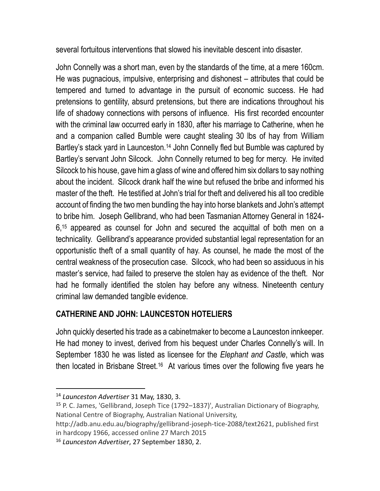several fortuitous interventions that slowed his inevitable descent into disaster.

John Connelly was a short man, even by the standards of the time, at a mere 160cm. He was pugnacious, impulsive, enterprising and dishonest – attributes that could be tempered and turned to advantage in the pursuit of economic success. He had pretensions to gentility, absurd pretensions, but there are indications throughout his life of shadowy connections with persons of influence. His first recorded encounter with the criminal law occurred early in 1830, after his marriage to Catherine, when he and a companion called Bumble were caught stealing 30 lbs of hay from William Bartley's stack yard in Launceston.<sup>14</sup> John Connelly fled but Bumble was captured by Bartley's servant John Silcock. John Connelly returned to beg for mercy. He invited Silcock to his house, gave him a glass of wine and offered him six dollars to say nothing about the incident. Silcock drank half the wine but refused the bribe and informed his master of the theft. He testified at John's trial for theft and delivered his all too credible account of finding the two men bundling the hay into horse blankets and John's attempt to bribe him. Joseph Gellibrand, who had been Tasmanian Attorney General in 1824- 6,<sup>15</sup> appeared as counsel for John and secured the acquittal of both men on a technicality. Gellibrand's appearance provided substantial legal representation for an opportunistic theft of a small quantity of hay. As counsel, he made the most of the central weakness of the prosecution case. Silcock, who had been so assiduous in his master's service, had failed to preserve the stolen hay as evidence of the theft. Nor had he formally identified the stolen hay before any witness. Nineteenth century criminal law demanded tangible evidence.

## **CATHERINE AND JOHN: LAUNCESTON HOTELIERS**

John quickly deserted his trade as a cabinetmaker to become a Launceston innkeeper. He had money to invest, derived from his bequest under Charles Connelly's will. In September 1830 he was listed as licensee for the *Elephant and Castle*, which was then located in Brisbane Street.<sup>16</sup> At various times over the following five years he

<sup>14</sup> *Launceston Advertiser* 31 May, 1830, 3.

<sup>15</sup> P. C. James, 'Gellibrand, Joseph Tice (1792–1837)', Australian Dictionary of Biography, National Centre of Biography, Australian National University,

http://adb.anu.edu.au/biography/gellibrand-joseph-tice-2088/text2621, published first in hardcopy 1966, accessed online 27 March 2015

<sup>16</sup> *Launceston Advertiser*, 27 September 1830, 2.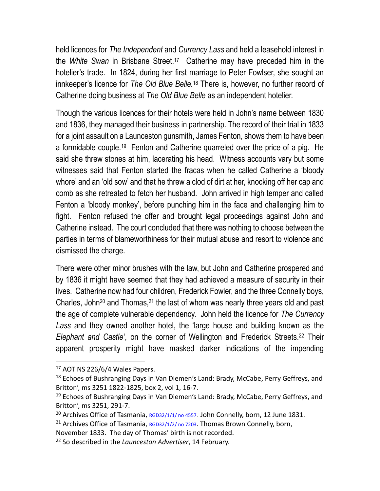held licences for *The Independent* and *Currency Lass* and held a leasehold interest in the *White Swan* in Brisbane Street.<sup>17</sup> Catherine may have preceded him in the hotelier's trade. In 1824, during her first marriage to Peter Fowlser, she sought an innkeeper's licence for *The Old Blue Belle.*<sup>18</sup> There is, however, no further record of Catherine doing business at *The Old Blue Belle* as an independent hotelier.

Though the various licences for their hotels were held in John's name between 1830 and 1836, they managed their business in partnership. The record of their trial in 1833 for a joint assault on a Launceston gunsmith, James Fenton, shows them to have been a formidable couple.<sup>19</sup> Fenton and Catherine quarreled over the price of a pig. He said she threw stones at him, lacerating his head. Witness accounts vary but some witnesses said that Fenton started the fracas when he called Catherine a 'bloody whore' and an 'old sow' and that he threw a clod of dirt at her, knocking off her cap and comb as she retreated to fetch her husband. John arrived in high temper and called Fenton a 'bloody monkey', before punching him in the face and challenging him to fight. Fenton refused the offer and brought legal proceedings against John and Catherine instead. The court concluded that there was nothing to choose between the parties in terms of blameworthiness for their mutual abuse and resort to violence and dismissed the charge.

There were other minor brushes with the law, but John and Catherine prospered and by 1836 it might have seemed that they had achieved a measure of security in their lives. Catherine now had four children, Frederick Fowler, and the three Connelly boys, Charles, John<sup>20</sup> and Thomas,<sup>21</sup> the last of whom was nearly three years old and past the age of complete vulnerable dependency. John held the licence for *The Currency Lass* and they owned another hotel, the 'large house and building known as the *Elephant and Castle'*, on the corner of Wellington and Frederick Streets.<sup>22</sup> Their apparent prosperity might have masked darker indications of the impending

 $17$  AOT NS 226/6/4 Wales Papers.

<sup>&</sup>lt;sup>18</sup> Echoes of Bushranging Days in Van Diemen's Land: Brady, McCabe, Perry Geffreys, and Britton', ms 3251 1822-1825, box 2, vol 1, 16-7.

<sup>&</sup>lt;sup>19</sup> Echoes of Bushranging Days in Van Diemen's Land: Brady, McCabe, Perry Geffreys, and Britton', ms 3251, 291-7.

<sup>20</sup> Archives Office of Tasmania, [RGD32/1/1/ no 4557.](http://stors.tas.gov.au/RGD32-1-1-p243j2k) John Connelly, born, 12 June 1831.

<sup>&</sup>lt;sup>21</sup> Archives Office of Tasmania,  $RGD32/1/2$ / no 7203. Thomas Brown Connelly, born,

November 1833. The day of Thomas' birth is not recorded.

<sup>22</sup> So described in the *Launceston Advertiser*, 14 February.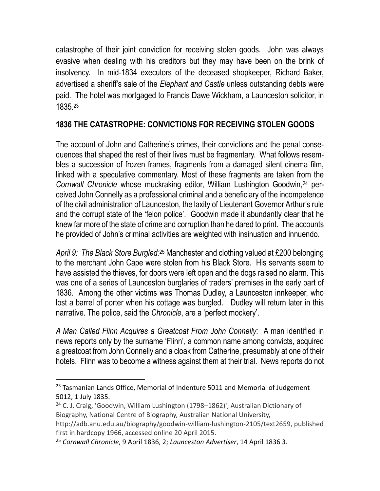catastrophe of their joint conviction for receiving stolen goods. John was always evasive when dealing with his creditors but they may have been on the brink of insolvency. In mid-1834 executors of the deceased shopkeeper, Richard Baker, advertised a sheriff's sale of the *Elephant and Castle* unless outstanding debts were paid. The hotel was mortgaged to Francis Dawe Wickham, a Launceston solicitor, in 1835.<sup>23</sup>

#### **1836 THE CATASTROPHE: CONVICTIONS FOR RECEIVING STOLEN GOODS**

The account of John and Catherine's crimes, their convictions and the penal consequences that shaped the rest of their lives must be fragmentary. What follows resembles a succession of frozen frames, fragments from a damaged silent cinema film, linked with a speculative commentary. Most of these fragments are taken from the *Cornwall Chronicle* whose muckraking editor, William Lushington Goodwin, <sup>24</sup> perceived John Connelly as a professional criminal and a beneficiary of the incompetence of the civil administration of Launceston, the laxity of Lieutenant Governor Arthur's rule and the corrupt state of the 'felon police'. Goodwin made it abundantly clear that he knew far more of the state of crime and corruption than he dared to print. The accounts he provided of John's criminal activities are weighted with insinuation and innuendo.

*April 9: The Black Store Burgled:*<sup>25</sup> Manchester and clothing valued at £200 belonging to the merchant John Cape were stolen from his Black Store. His servants seem to have assisted the thieves, for doors were left open and the dogs raised no alarm. This was one of a series of Launceston burglaries of traders' premises in the early part of 1836. Among the other victims was Thomas Dudley, a Launceston innkeeper, who lost a barrel of porter when his cottage was burgled. Dudley will return later in this narrative. The police, said the *Chronicle*, are a 'perfect mockery'.

*A Man Called Flinn Acquires a Greatcoat From John Connelly:* A man identified in news reports only by the surname 'Flinn', a common name among convicts, acquired a greatcoat from John Connelly and a cloak from Catherine, presumably at one of their hotels. Flinn was to become a witness against them at their trial. News reports do not

<sup>&</sup>lt;sup>23</sup> Tasmanian Lands Office, Memorial of Indenture 5011 and Memorial of Judgement 5012, 1 July 1835.

<sup>24</sup> C. J. Craig, 'Goodwin, William Lushington (1798–1862)', Australian Dictionary of Biography, National Centre of Biography, Australian National University,

http://adb.anu.edu.au/biography/goodwin-william-lushington-2105/text2659, published first in hardcopy 1966, accessed online 20 April 2015.

<sup>25</sup> *Cornwall Chronicle*, 9 April 1836, 2; *Launceston Advertiser*, 14 April 1836 3.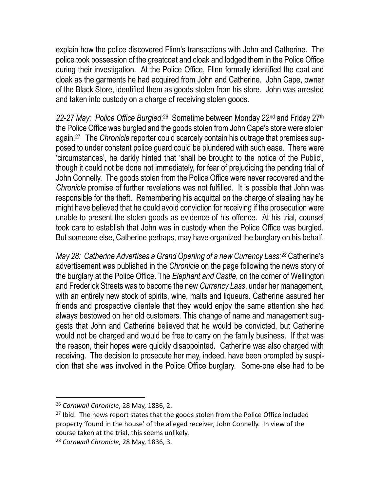explain how the police discovered Flinn's transactions with John and Catherine. The police took possession of the greatcoat and cloak and lodged them in the Police Office during their investigation. At the Police Office, Flinn formally identified the coat and cloak as the garments he had acquired from John and Catherine. John Cape, owner of the Black Store, identified them as goods stolen from his store. John was arrested and taken into custody on a charge of receiving stolen goods.

22-27 May: Police Office Burgled:<sup>26</sup> Sometime between Monday 22<sup>nd</sup> and Friday 27<sup>th</sup> the Police Office was burgled and the goods stolen from John Cape's store were stolen again.<sup>27</sup> The *Chronicle* reporter could scarcely contain his outrage that premises supposed to under constant police guard could be plundered with such ease. There were 'circumstances', he darkly hinted that 'shall be brought to the notice of the Public', though it could not be done not immediately, for fear of prejudicing the pending trial of John Connelly. The goods stolen from the Police Office were never recovered and the *Chronicle* promise of further revelations was not fulfilled.It is possible that John was responsible for the theft. Remembering his acquittal on the charge of stealing hay he might have believed that he could avoid conviction for receiving if the prosecution were unable to present the stolen goods as evidence of his offence. At his trial, counsel took care to establish that John was in custody when the Police Office was burgled. But someone else, Catherine perhaps, may have organized the burglary on his behalf.

*May 28: Catherine Advertises a Grand Opening of a new Currency Lass:<sup>28</sup>* Catherine's advertisement was published in the *Chronicle* on the page following the news story of the burglary at the Police Office. The *Elephant and Castle*, on the corner of Wellington and Frederick Streets was to become the new *Currency Lass*, under her management, with an entirely new stock of spirits, wine, malts and liqueurs. Catherine assured her friends and prospective clientele that they would enjoy the same attention she had always bestowed on her old customers. This change of name and management suggests that John and Catherine believed that he would be convicted, but Catherine would not be charged and would be free to carry on the family business. If that was the reason, their hopes were quickly disappointed. Catherine was also charged with receiving. The decision to prosecute her may, indeed, have been prompted by suspicion that she was involved in the Police Office burglary. Some-one else had to be

<sup>26</sup> *Cornwall Chronicle*, 28 May, 1836, 2.

<sup>&</sup>lt;sup>27</sup> Ibid. The news report states that the goods stolen from the Police Office included property 'found in the house' of the alleged receiver, John Connelly. In view of the course taken at the trial, this seems unlikely.

<sup>28</sup> *Cornwall Chronicle*, 28 May, 1836, 3.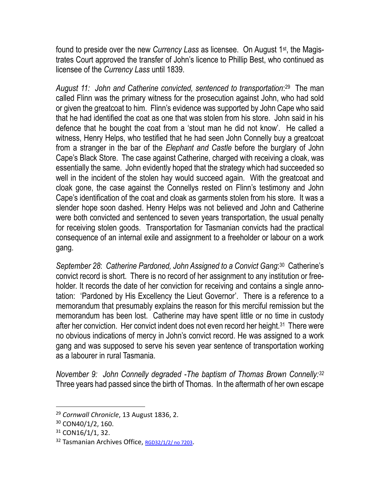found to preside over the new *Currency Lass* as licensee. On August 1st, the Magistrates Court approved the transfer of John's licence to Phillip Best, who continued as licensee of the *Currency Lass* until 1839.

August 11: John and Catherine convicted, sentenced to transportation:<sup>29</sup> The man called Flinn was the primary witness for the prosecution against John, who had sold or given the greatcoat to him. Flinn's evidence was supported by John Cape who said that he had identified the coat as one that was stolen from his store. John said in his defence that he bought the coat from a 'stout man he did not know'. He called a witness, Henry Helps, who testified that he had seen John Connelly buy a greatcoat from a stranger in the bar of the *Elephant and Castle* before the burglary of John Cape's Black Store. The case against Catherine, charged with receiving a cloak, was essentially the same. John evidently hoped that the strategy which had succeeded so well in the incident of the stolen hay would succeed again. With the greatcoat and cloak gone, the case against the Connellys rested on Flinn's testimony and John Cape's identification of the coat and cloak as garments stolen from his store. It was a slender hope soon dashed. Henry Helps was not believed and John and Catherine were both convicted and sentenced to seven years transportation, the usual penalty for receiving stolen goods. Transportation for Tasmanian convicts had the practical consequence of an internal exile and assignment to a freeholder or labour on a work gang.

September 28: Catherine Pardoned, John Assigned to a Convict Gang:<sup>30</sup> Catherine's convict record is short. There is no record of her assignment to any institution or freeholder. It records the date of her conviction for receiving and contains a single annotation: 'Pardoned by His Excellency the Lieut Governor'. There is a reference to a memorandum that presumably explains the reason for this merciful remission but the memorandum has been lost. Catherine may have spent little or no time in custody after her conviction. Her convict indent does not even record her height.<sup>31</sup> There were no obvious indications of mercy in John's convict record. He was assigned to a work gang and was supposed to serve his seven year sentence of transportation working as a labourer in rural Tasmania.

*November 9: John Connelly degraded -The baptism of Thomas Brown Connelly:<sup>32</sup>*  Three years had passed since the birth of Thomas. In the aftermath of her own escape

<sup>29</sup> *Cornwall Chronicle*, 13 August 1836, 2.

<sup>30</sup> CON40/1/2, 160.

 $31$  CON16/1/1, 32.

<sup>&</sup>lt;sup>32</sup> Tasmanian Archives Office, [RGD32/1/2/ no 7203](http://stors.tas.gov.au/RGD32-1-2-p378j2k).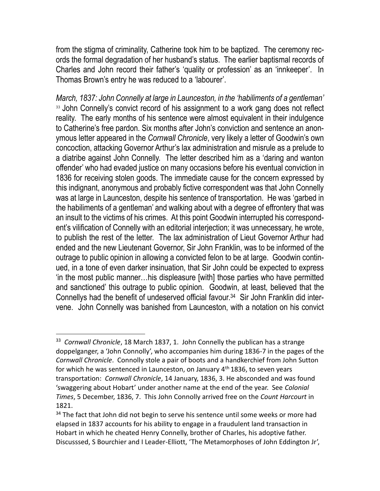from the stigma of criminality, Catherine took him to be baptized. The ceremony records the formal degradation of her husband's status. The earlier baptismal records of Charles and John record their father's 'quality or profession' as an 'innkeeper'. In Thomas Brown's entry he was reduced to a 'labourer'.

*March, 1837: John Connelly at large in Launceston, in the 'habiliments of a gentleman'* <sup>33</sup> John Connelly's convict record of his assignment to a work gang does not reflect reality. The early months of his sentence were almost equivalent in their indulgence to Catherine's free pardon. Six months after John's conviction and sentence an anonymous letter appeared in the *Cornwall Chronicle*, very likely a letter of Goodwin's own concoction, attacking Governor Arthur's lax administration and misrule as a prelude to a diatribe against John Connelly. The letter described him as a 'daring and wanton offender' who had evaded justice on many occasions before his eventual conviction in 1836 for receiving stolen goods. The immediate cause for the concern expressed by this indignant, anonymous and probably fictive correspondent was that John Connelly was at large in Launceston, despite his sentence of transportation. He was 'garbed in the habiliments of a gentleman' and walking about with a degree of effrontery that was an insult to the victims of his crimes. At this point Goodwin interrupted his correspondent's vilification of Connelly with an editorial interjection; it was unnecessary, he wrote, to publish the rest of the letter. The lax administration of Lieut Governor Arthur had ended and the new Lieutenant Governor, Sir John Franklin, was to be informed of the outrage to public opinion in allowing a convicted felon to be at large. Goodwin continued, in a tone of even darker insinuation, that Sir John could be expected to express 'in the most public manner…his displeasure [with] those parties who have permitted and sanctioned' this outrage to public opinion. Goodwin, at least, believed that the Connellys had the benefit of undeserved official favour.<sup>34</sup> Sir John Franklin did intervene. John Connelly was banished from Launceston, with a notation on his convict

<sup>33</sup> *Cornwall Chronicle*, 18 March 1837, 1. John Connelly the publican has a strange doppelganger, a 'John Connolly', who accompanies him during 1836-7 in the pages of the *Cornwall Chronicle*. Connolly stole a pair of boots and a handkerchief from John Sutton for which he was sentenced in Launceston, on January  $4<sup>th</sup>$  1836, to seven years transportation: *Cornwall Chronicle*, 14 January, 1836, 3. He absconded and was found 'swaggering about Hobart' under another name at the end of the year. See *Colonial Times*, 5 December, 1836, 7. This John Connolly arrived free on the *Count Harcourt* in 1821.

 $34$  The fact that John did not begin to serve his sentence until some weeks or more had elapsed in 1837 accounts for his ability to engage in a fraudulent land transaction in Hobart in which he cheated Henry Connelly, brother of Charles, his adoptive father. Discusssed, S Bourchier and I Leader-Elliott, 'The Metamorphoses of John Eddington Jr',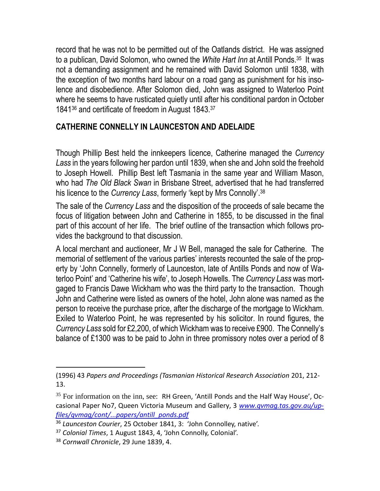record that he was not to be permitted out of the Oatlands district. He was assigned to a publican, David Solomon, who owned the *White Hart Inn* at Antill Ponds.<sup>35</sup> It was not a demanding assignment and he remained with David Solomon until 1838, with the exception of two months hard labour on a road gang as punishment for his insolence and disobedience. After Solomon died, John was assigned to Waterloo Point where he seems to have rusticated quietly until after his conditional pardon in October 1841<sup>36</sup> and certificate of freedom in August 1843.<sup>37</sup>

#### **CATHERINE CONNELLY IN LAUNCESTON AND ADELAIDE**

Though Phillip Best held the innkeepers licence, Catherine managed the *Currency Lass* in the years following her pardon until 1839, when she and John sold the freehold to Joseph Howell. Phillip Best left Tasmania in the same year and William Mason, who had *The Old Black Swan* in Brisbane Street, advertised that he had transferred his licence to the *Currency Lass*, formerly 'kept by Mrs Connolly'.<sup>38</sup>

The sale of the *Currency Lass* and the disposition of the proceeds of sale became the focus of litigation between John and Catherine in 1855, to be discussed in the final part of this account of her life. The brief outline of the transaction which follows provides the background to that discussion.

A local merchant and auctioneer, Mr J W Bell, managed the sale for Catherine. The memorial of settlement of the various parties' interests recounted the sale of the property by 'John Connelly, formerly of Launceston, late of Antills Ponds and now of Waterloo Point' and 'Catherine his wife', to Joseph Howells. The *Currency Lass* was mortgaged to Francis Dawe Wickham who was the third party to the transaction. Though John and Catherine were listed as owners of the hotel, John alone was named as the person to receive the purchase price, after the discharge of the mortgage to Wickham. Exiled to Waterloo Point, he was represented by his solicitor. In round figures, the *Currency Lass* sold for £2,200, of which Wickham was to receive £900. The Connelly's balance of £1300 was to be paid to John in three promissory notes over a period of 8

<sup>(1996) 43</sup> *Papers and Proceedings (Tasmanian Historical Research Association* 201, 212- 13.

 $35$  For information on the inn, see: RH Green, 'Antill Ponds and the Half Way House', Occasional Paper No7, Queen Victoria Museum and Gallery, 3 *[www.qvmag.tas.gov.au/up](file:///C:/Users/User/Documents/2015%20NONCRIM%20PROJECTS/2015%20FHP%20-%20TASMANIA%20SYMPOSIUM/AA%20CATHERINE%20DRAFTS%20AND%20NOTES/www.qvmag.tas.gov.au/upfiles/qvmag/cont/...papers/antill_ponds.pdf)[files/qvmag/cont/...papers/antill\\_ponds.pdf](file:///C:/Users/User/Documents/2015%20NONCRIM%20PROJECTS/2015%20FHP%20-%20TASMANIA%20SYMPOSIUM/AA%20CATHERINE%20DRAFTS%20AND%20NOTES/www.qvmag.tas.gov.au/upfiles/qvmag/cont/...papers/antill_ponds.pdf)*

<sup>36</sup> *Launceston Courier*, 25 October 1841, 3: 'John Connolley, native'.

<sup>37</sup> *Colonial Times*, 1 August 1843, 4, 'John Connolly, Colonial'.

<sup>38</sup> *Cornwall Chronicle*, 29 June 1839, 4.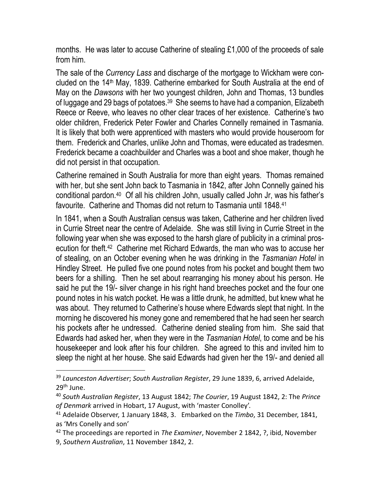months. He was later to accuse Catherine of stealing £1,000 of the proceeds of sale from him.

The sale of the *Currency Lass* and discharge of the mortgage to Wickham were concluded on the 14th May, 1839. Catherine embarked for South Australia at the end of May on the *Dawsons* with her two youngest children, John and Thomas, 13 bundles of luggage and 29 bags of potatoes.<sup>39</sup> She seems to have had a companion, Elizabeth Reece or Reeve, who leaves no other clear traces of her existence. Catherine's two older children, Frederick Peter Fowler and Charles Connelly remained in Tasmania. It is likely that both were apprenticed with masters who would provide houseroom for them. Frederick and Charles, unlike John and Thomas, were educated as tradesmen. Frederick became a coachbuilder and Charles was a boot and shoe maker, though he did not persist in that occupation.

Catherine remained in South Australia for more than eight years. Thomas remained with her, but she sent John back to Tasmania in 1842, after John Connelly gained his conditional pardon.<sup>40</sup> Of all his children John, usually called John Jr, was his father's favourite. Catherine and Thomas did not return to Tasmania until 1848.<sup>41</sup>

In 1841, when a South Australian census was taken, Catherine and her children lived in Currie Street near the centre of Adelaide. She was still living in Currie Street in the following year when she was exposed to the harsh glare of publicity in a criminal prosecution for theft.<sup>42</sup> Catherine met Richard Edwards, the man who was to accuse her of stealing, on an October evening when he was drinking in the *Tasmanian Hotel* in Hindley Street. He pulled five one pound notes from his pocket and bought them two beers for a shilling. Then he set about rearranging his money about his person. He said he put the 19/- silver change in his right hand breeches pocket and the four one pound notes in his watch pocket. He was a little drunk, he admitted, but knew what he was about. They returned to Catherine's house where Edwards slept that night. In the morning he discovered his money gone and remembered that he had seen her search his pockets after he undressed. Catherine denied stealing from him. She said that Edwards had asked her, when they were in the *Tasmanian Hotel*, to come and be his housekeeper and look after his four children. She agreed to this and invited him to sleep the night at her house. She said Edwards had given her the 19/- and denied all

<sup>39</sup> *Launceston Advertiser*; *South Australian Register*, 29 June 1839, 6, arrived Adelaide, 29<sup>th</sup> June.

<sup>40</sup> *South Australian Register*, 13 August 1842; *The Courier*, 19 August 1842, 2: The *Prince of Denmark* arrived in Hobart, 17 August, with 'master Conolley'.

<sup>41</sup> Adelaide Observer, 1 January 1848, 3. Embarked on the *Timbo*, 31 December, 1841, as 'Mrs Conelly and son'

<sup>42</sup> The proceedings are reported in *The Examiner*, November 2 1842, ?, ibid, November 9, *Southern Australian*, 11 November 1842, 2.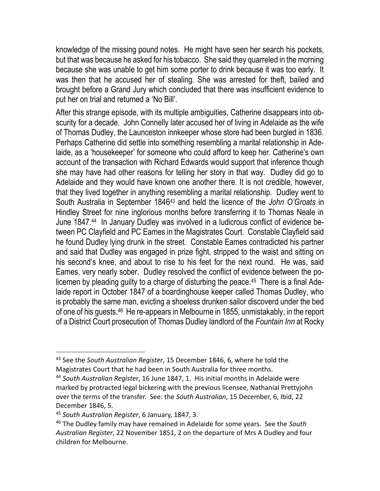knowledge of the missing pound notes. He might have seen her search his pockets, but that was because he asked for his tobacco. She said they quarreled in the morning because she was unable to get him some porter to drink because it was too early. It was then that he accused her of stealing. She was arrested for theft, bailed and brought before a Grand Jury which concluded that there was insufficient evidence to put her on trial and returned a 'No Bill'.

After this strange episode, with its multiple ambiguities, Catherine disappears into obscurity for a decade. John Connelly later accused her of living in Adelaide as the wife of Thomas Dudley, the Launceston innkeeper whose store had been burgled in 1836. Perhaps Catherine did settle into something resembling a marital relationship in Adelaide, as a 'housekeeper' for someone who could afford to keep her. Catherine's own account of the transaction with Richard Edwards would support that inference though she may have had other reasons for telling her story in that way. Dudley did go to Adelaide and they would have known one another there. It is not credible, however, that they lived together in anything resembling a marital relationship. Dudley went to South Australia in September 1846<sup>43</sup> and held the licence of the *John O'Groats* in Hindley Street for nine inglorious months before transferring it to Thomas Neale in June 1847.<sup>44</sup> In January Dudley was involved in a ludicrous conflict of evidence between PC Clayfield and PC Eames in the Magistrates Court. Constable Clayfield said he found Dudley lying drunk in the street. Constable Eames contradicted his partner and said that Dudley was engaged in prize fight, stripped to the waist and sitting on his second's knee, and about to rise to his feet for the next round. He was, said Eames, very nearly sober. Dudley resolved the conflict of evidence between the policemen by pleading guilty to a charge of disturbing the peace.<sup>45</sup> There is a final Adelaide report in October 1847 of a boardinghouse keeper called Thomas Dudley, who is probably the same man, evicting a shoeless drunken sailor discoverd under the bed of one of his guests.<sup>46</sup> He re-appears in Melbourne in 1855, unmistakably, in the report of a District Court prosecution of Thomas Dudley landlord of the *Fountain Inn* at Rocky

<sup>43</sup> See the *South Australian Register*, 15 December 1846, 6, where he told the Magistrates Court that he had been in South Australia for three months.

<sup>44</sup> *South Australian Register*, 16 June 1847, 1. His initial months in Adelaide were marked by protracted legal bickering with the previous licensee, Nathanial Prettyjohn over the terms of the transfer. See: the *South Australian*, 15 December, 6, Ibid, 22 December 1846, 5.

<sup>45</sup> *South Australian Register*, 6 January, 1847, 3.

<sup>46</sup> The Dudley family may have remained in Adelaide for some years. See the *South Australian Register*, 22 November 1851, 2 on the departure of Mrs A Dudley and four children for Melbourne.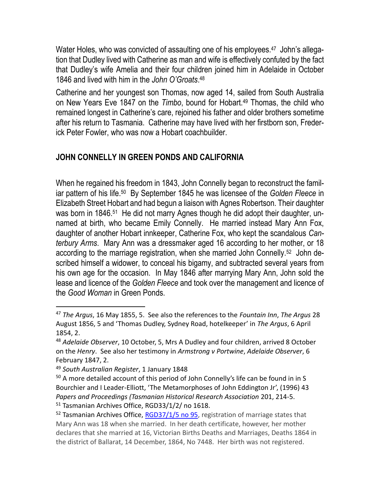Water Holes, who was convicted of assaulting one of his employees.<sup>47</sup> John's allegation that Dudley lived with Catherine as man and wife is effectively confuted by the fact that Dudley's wife Amelia and their four children joined him in Adelaide in October 1846 and lived with him in the *John O'Groats*. 48

Catherine and her youngest son Thomas, now aged 14, sailed from South Australia on New Years Eve 1847 on the *Timbo*, bound for Hobart.<sup>49</sup> Thomas, the child who remained longest in Catherine's care, rejoined his father and older brothers sometime after his return to Tasmania. Catherine may have lived with her firstborn son, Frederick Peter Fowler, who was now a Hobart coachbuilder.

#### **JOHN CONNELLY IN GREEN PONDS AND CALIFORNIA**

When he regained his freedom in 1843, John Connelly began to reconstruct the familiar pattern of his life.<sup>50</sup> By September 1845 he was licensee of the *Golden Fleece* in Elizabeth Street Hobart and had begun a liaison with Agnes Robertson. Their daughter was born in 1846.<sup>51</sup> He did not marry Agnes though he did adopt their daughter, unnamed at birth, who became Emily Connelly. He married instead Mary Ann Fox, daughter of another Hobart innkeeper, Catherine Fox, who kept the scandalous *Canterbury Arms*. Mary Ann was a dressmaker aged 16 according to her mother, or 18 according to the marriage registration, when she married John Connelly.<sup>52</sup> John described himself a widower, to conceal his bigamy, and subtracted several years from his own age for the occasion. In May 1846 after marrying Mary Ann, John sold the lease and licence of the *Golden Fleece* and took over the management and licence of the *Good Woman* in Green Ponds.

<sup>47</sup> *The Argus*, 16 May 1855, 5. See also the references to the *Fountain Inn*, *The Argus* 28 August 1856, 5 and 'Thomas Dudley, Sydney Road, hotelkeeper' in *The Argus*, 6 April 1854, 2.

<sup>48</sup> *Adelaide Observer*, 10 October, 5, Mrs A Dudley and four children, arrived 8 October on the *Henry*. See also her testimony in *Armstrong v Portwine*, *Adelaide Observer*, 6 February 1847, 2.

<sup>49</sup> *South Australian Register*, 1 January 1848

<sup>&</sup>lt;sup>50</sup> A more detailed account of this period of John Connelly's life can be found in in S Bourchier and I Leader-Elliott, 'The Metamorphoses of John Eddington Jr', (1996) 43 *Papers and Proceedings (Tasmanian Historical Research Association* 201, 214-5. <sup>51</sup> Tasmanian Archives Office, RGD33/1/2/ no 1618.

 $52$  Tasmanian Archives Office, [RGD37/1/5 no 95,](http://stors.tas.gov.au/RGD37-1-5p83j2k) registration of marriage states that Mary Ann was 18 when she married. In her death certificate, however, her mother declares that she married at 16, Victorian Births Deaths and Marriages, Deaths 1864 in the district of Ballarat, 14 December, 1864, No 7448. Her birth was not registered.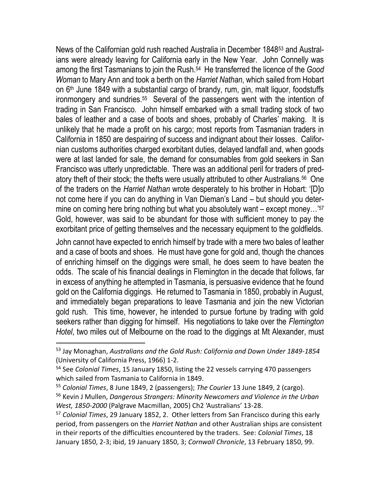News of the Californian gold rush reached Australia in December 1848<sup>53</sup> and Australians were already leaving for California early in the New Year. John Connelly was among the first Tasmanians to join the Rush.<sup>54</sup> He transferred the licence of the *Good Woman* to Mary Ann and took a berth on the *Harriet Nathan*, which sailed from Hobart on  $6<sup>th</sup>$  June 1849 with a substantial cargo of brandy, rum, gin, malt liquor, foodstuffs ironmongery and sundries.<sup>55</sup> Several of the passengers went with the intention of trading in San Francisco. John himself embarked with a small trading stock of two bales of leather and a case of boots and shoes, probably of Charles' making. It is unlikely that he made a profit on his cargo; most reports from Tasmanian traders in California in 1850 are despairing of success and indignant about their losses. Californian customs authorities charged exorbitant duties, delayed landfall and, when goods were at last landed for sale, the demand for consumables from gold seekers in San Francisco was utterly unpredictable. There was an additional peril for traders of predatory theft of their stock; the thefts were usually attributed to other Australians.<sup>56</sup> One of the traders on the *Harriet Nathan* wrote desperately to his brother in Hobart: '[D]o not come here if you can do anything in Van Dieman's Land – but should you determine on coming here bring nothing but what you absolutely want – except money...'<sup>57</sup> Gold, however, was said to be abundant for those with sufficient money to pay the exorbitant price of getting themselves and the necessary equipment to the goldfields.

John cannot have expected to enrich himself by trade with a mere two bales of leather and a case of boots and shoes. He must have gone for gold and, though the chances of enriching himself on the diggings were small, he does seem to have beaten the odds. The scale of his financial dealings in Flemington in the decade that follows, far in excess of anything he attempted in Tasmania, is persuasive evidence that he found gold on the California diggings. He returned to Tasmania in 1850, probably in August, and immediately began preparations to leave Tasmania and join the new Victorian gold rush. This time, however, he intended to pursue fortune by trading with gold seekers rather than digging for himself. His negotiations to take over the *Flemington Hotel*, two miles out of Melbourne on the road to the diggings at Mt Alexander, must

<sup>53</sup> Jay Monaghan, *Australians and the Gold Rush: California and Down Under 1849-1854* (University of California Press, 1966) 1-2.

<sup>54</sup> See *Colonial Times*, 15 January 1850, listing the 22 vessels carrying 470 passengers which sailed from Tasmania to California in 1849.

<sup>55</sup> *Colonial Times*, 8 June 1849, 2 (passengers); *The Courier* 13 June 1849, 2 (cargo).

<sup>56</sup> Kevin J Mullen, *Dangerous Strangers: Minority Newcomers and Violence in the Urban West, 1850-2000* (Palgrave Macmillan, 2005) Ch2 'Australians' 13-28.

<sup>57</sup> *Colonial Times*, 29 January 1852, 2. Other letters from San Francisco during this early period, from passengers on the *Harriet Nathan* and other Australian ships are consistent in their reports of the difficulties encountered by the traders. See: *Colonial Times*, 18 January 1850, 2-3; ibid, 19 January 1850, 3; *Cornwall Chronicle*, 13 February 1850, 99.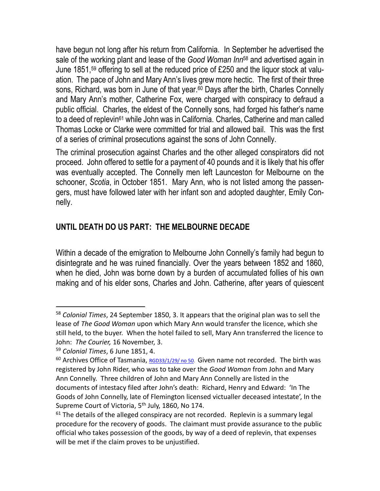have begun not long after his return from California. In September he advertised the sale of the working plant and lease of the *Good Woman Inn*<sup>58</sup> and advertised again in June 1851, <sup>59</sup> offering to sell at the reduced price of £250 and the liquor stock at valuation. The pace of John and Mary Ann's lives grew more hectic. The first of their three sons, Richard, was born in June of that year.<sup>60</sup> Days after the birth, Charles Connelly and Mary Ann's mother, Catherine Fox, were charged with conspiracy to defraud a public official. Charles, the eldest of the Connelly sons, had forged his father's name to a deed of replevin<sup>61</sup> while John was in California. Charles, Catherine and man called Thomas Locke or Clarke were committed for trial and allowed bail. This was the first of a series of criminal prosecutions against the sons of John Connelly.

The criminal prosecution against Charles and the other alleged conspirators did not proceed. John offered to settle for a payment of 40 pounds and it is likely that his offer was eventually accepted. The Connelly men left Launceston for Melbourne on the schooner, *Scotia*, in October 1851. Mary Ann, who is not listed among the passengers, must have followed later with her infant son and adopted daughter, Emily Connelly.

### **UNTIL DEATH DO US PART: THE MELBOURNE DECADE**

Within a decade of the emigration to Melbourne John Connelly's family had begun to disintegrate and he was ruined financially. Over the years between 1852 and 1860, when he died, John was borne down by a burden of accumulated follies of his own making and of his elder sons, Charles and John. Catherine, after years of quiescent

<sup>58</sup> *Colonial Times*, 24 September 1850, 3. It appears that the original plan was to sell the lease of *The Good Woman* upon which Mary Ann would transfer the licence, which she still held, to the buyer. When the hotel failed to sell, Mary Ann transferred the licence to John: *The Courier,* 16 November, 3.

<sup>59</sup> *Colonial Times*, 6 June 1851, 4.

<sup>&</sup>lt;sup>60</sup> Archives Office of Tasmania, [RGD33/1/29/ no 50.](http://stors.tas.gov.au/RGD33-1-29-p722j2k) Given name not recorded. The birth was registered by John Rider, who was to take over the *Good Woman* from John and Mary Ann Connelly. Three children of John and Mary Ann Connelly are listed in the documents of intestacy filed after John's death: Richard, Henry and Edward: 'In The Goods of John Connelly, late of Flemington licensed victualler deceased intestate', In the Supreme Court of Victoria, 5<sup>th</sup> July, 1860, No 174.

 $61$  The details of the alleged conspiracy are not recorded. Replevin is a summary legal procedure for the recovery of goods. The claimant must provide assurance to the public official who takes possession of the goods, by way of a deed of replevin, that expenses will be met if the claim proves to be unjustified.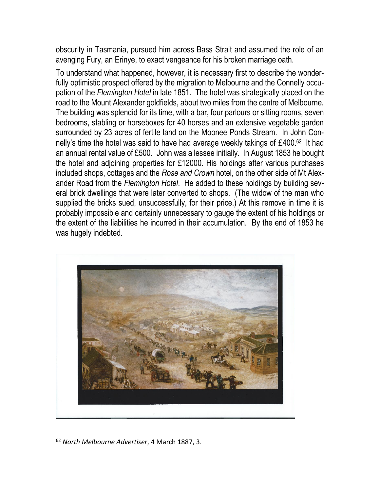obscurity in Tasmania, pursued him across Bass Strait and assumed the role of an avenging Fury, an Erinye, to exact vengeance for his broken marriage oath.

To understand what happened, however, it is necessary first to describe the wonderfully optimistic prospect offered by the migration to Melbourne and the Connelly occupation of the *Flemington Hotel* in late 1851. The hotel was strategically placed on the road to the Mount Alexander goldfields, about two miles from the centre of Melbourne. The building was splendid for its time, with a bar, four parlours or sitting rooms, seven bedrooms, stabling or horseboxes for 40 horses and an extensive vegetable garden surrounded by 23 acres of fertile land on the Moonee Ponds Stream. In John Connelly's time the hotel was said to have had average weekly takings of  $£400.62$  It had an annual rental value of £500. John was a lessee initially. In August 1853 he bought the hotel and adjoining properties for £12000. His holdings after various purchases included shops, cottages and the *Rose and Crown* hotel, on the other side of Mt Alexander Road from the *Flemington Hotel*. He added to these holdings by building several brick dwellings that were later converted to shops. (The widow of the man who supplied the bricks sued, unsuccessfully, for their price.) At this remove in time it is probably impossible and certainly unnecessary to gauge the extent of his holdings or the extent of the liabilities he incurred in their accumulation. By the end of 1853 he was hugely indebted.



<sup>62</sup> *North Melbourne Advertiser*, 4 March 1887, 3.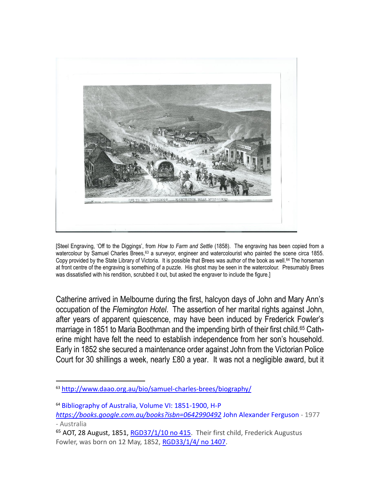

[Steel Engraving, 'Off to the Diggings', from *How to Farm and Settle* (1858). The engraving has been copied from a watercolour by Samuel Charles Brees,<sup>63</sup> a surveyor, engineer and watercolourist who painted the scene circa 1855. Copy provided by the State Library of Victoria. It is possible that Brees was author of the book as well.<sup>64</sup> The horseman at front centre of the engraving is something of a puzzle. His ghost may be seen in the watercolour. Presumably Brees was dissatisfied with his rendition, scrubbed it out, but asked the engraver to include the figure.]

Catherine arrived in Melbourne during the first, halcyon days of John and Mary Ann's occupation of the *Flemington Hotel*. The assertion of her marital rights against John, after years of apparent quiescence, may have been induced by Frederick Fowler's marriage in 1851 to Maria Boothman and the impending birth of their first child.<sup>65</sup> Catherine might have felt the need to establish independence from her son's household. Early in 1852 she secured a maintenance order against John from the Victorian Police Court for 30 shillings a week, nearly £80 a year. It was not a negligible award, but it

<sup>63</sup> <http://www.daao.org.au/bio/samuel-charles-brees/biography/>

<sup>64</sup> [Bibliography of Australia, Volume VI: 1851-1900, H-P](https://books.google.com.au/books?id=epQy-bymzRwC&pg=PA144&lpg=PA144&dq=%22HOW+TO+FARM+AND+SETTLE+IN+AUSTRALIA%22&source=bl&ots=kfUSDmHIoa&sig=6n1XGE6HKRZaWqh_tIdDsNifyRE&hl=en&sa=X&ei=3kk2Vb38NeTCmQWWm4GACg&ved=0CCwQ6AEwBA) *<https://books.google.com.au/books?isbn=0642990492>* [John Alexander Ferguson](https://www.google.com.au/search?newwindow=1&rlz=1T4VRHB_enAU632AU632&biw=1600&bih=1093&tbm=bks&q=inauthor:%22John+Alexander+Ferguson%22&sa=X&ei=3kk2Vb38NeTCmQWWm4GACg&ved=0CC0Q9AgwBA) - 1977

<sup>-</sup> Australia

<sup>&</sup>lt;sup>65</sup> AOT, 28 August, 1851, [RGD37/1/10 no 415.](http://stors.tas.gov.au/RGD37-1-10p163j2k) Their first child, Frederick Augustus Fowler, was born on 12 May, 1852, [RGD33/1/4/ no 1407.](http://stors.tas.gov.au/RGD33-1-4-p472j2k)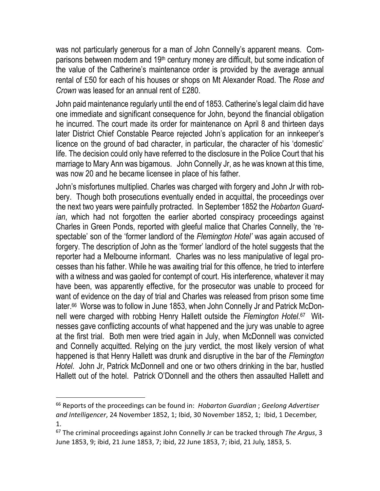was not particularly generous for a man of John Connelly's apparent means. Comparisons between modern and 19th century money are difficult, but some indication of the value of the Catherine's maintenance order is provided by the average annual rental of £50 for each of his houses or shops on Mt Alexander Road. The *Rose and Crown* was leased for an annual rent of £280.

John paid maintenance regularly until the end of 1853. Catherine's legal claim did have one immediate and significant consequence for John, beyond the financial obligation he incurred. The court made its order for maintenance on April 8 and thirteen days later District Chief Constable Pearce rejected John's application for an innkeeper's licence on the ground of bad character, in particular, the character of his 'domestic' life. The decision could only have referred to the disclosure in the Police Court that his marriage to Mary Ann was bigamous. John Connelly Jr, as he was known at this time, was now 20 and he became licensee in place of his father.

John's misfortunes multiplied. Charles was charged with forgery and John Jr with robbery. Though both prosecutions eventually ended in acquittal, the proceedings over the next two years were painfully protracted. In September 1852 the *Hobarton Guardian*, which had not forgotten the earlier aborted conspiracy proceedings against Charles in Green Ponds, reported with gleeful malice that Charles Connelly, the 'respectable' son of the 'former landlord of the *Flemington Hotel'* was again accused of forgery. The description of John as the 'former' landlord of the hotel suggests that the reporter had a Melbourne informant. Charles was no less manipulative of legal processes than his father. While he was awaiting trial for this offence, he tried to interfere with a witness and was gaoled for contempt of court. His interference, whatever it may have been, was apparently effective, for the prosecutor was unable to proceed for want of evidence on the day of trial and Charles was released from prison some time later.<sup>66</sup> Worse was to follow in June 1853, when John Connelly Jr and Patrick McDonnell were charged with robbing Henry Hallett outside the *Flemington Hotel*. 67 Witnesses gave conflicting accounts of what happened and the jury was unable to agree at the first trial. Both men were tried again in July, when McDonnell was convicted and Connelly acquitted. Relying on the jury verdict, the most likely version of what happened is that Henry Hallett was drunk and disruptive in the bar of the *Flemington Hotel*. John Jr, Patrick McDonnell and one or two others drinking in the bar, hustled Hallett out of the hotel. Patrick O'Donnell and the others then assaulted Hallett and

<sup>66</sup> Reports of the proceedings can be found in: *Hobarton Guardian* ; *Geelong Advertiser and Intelligencer*, 24 November 1852, 1; Ibid, 30 November 1852, 1; Ibid, 1 December, 1.

<sup>67</sup> The criminal proceedings against John Connelly Jr can be tracked through *The Argus*, 3 June 1853, 9; ibid, 21 June 1853, 7; ibid, 22 June 1853, 7; ibid, 21 July, 1853, 5.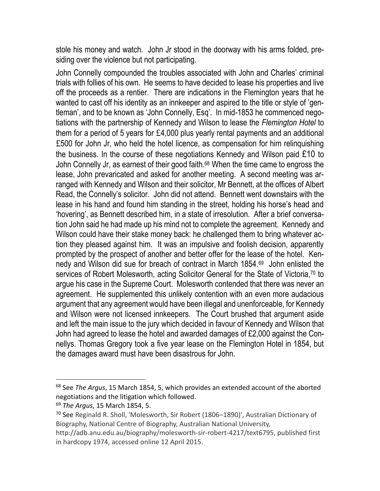stole his money and watch. John Jr stood in the doorway with his arms folded, presiding over the violence but not participating.

John Connelly compounded the troubles associated with John and Charles' criminal trials with follies of his own. He seems to have decided to lease his properties and live off the proceeds as a rentier. There are indications in the Flemington years that he wanted to cast off his identity as an innkeeper and aspired to the title or style of 'gentleman', and to be known as 'John Connelly, Esq'. In mid-1853 he commenced negotiations with the partnership of Kennedy and Wilson to lease the *Flemington Hotel* to them for a period of 5 years for £4,000 plus yearly rental payments and an additional £500 for John Jr, who held the hotel licence, as compensation for him relinquishing the business. In the course of these negotiations Kennedy and Wilson paid £10 to John Connelly Jr, as earnest of their good faith.<sup>68</sup> When the time came to engross the lease, John prevaricated and asked for another meeting. A second meeting was arranged with Kennedy and Wilson and their solicitor, Mr Bennett, at the offices of Albert Read, the Connelly's solicitor. John did not attend. Bennett went downstairs with the lease in his hand and found him standing in the street, holding his horse's head and 'hovering', as Bennett described him, in a state of irresolution. After a brief conversation John said he had made up his mind not to complete the agreement. Kennedy and Wilson could have their stake money back: he challenged them to bring whatever action they pleased against him. It was an impulsive and foolish decision, apparently prompted by the prospect of another and better offer for the lease of the hotel. Kennedy and Wilson did sue for breach of contract in March 1854.<sup>69</sup> John enlisted the services of Robert Molesworth, acting Solicitor General for the State of Victoria,<sup>70</sup> to argue his case in the Supreme Court. Molesworth contended that there was never an agreement. He supplemented this unlikely contention with an even more audacious argument that any agreement would have been illegal and unenforceable, for Kennedy and Wilson were not licensed innkeepers. The Court brushed that argument aside and left the main issue to the jury which decided in favour of Kennedy and Wilson that John had agreed to lease the hotel and awarded damages of £2,000 against the Connellys. Thomas Gregory took a five year lease on the Flemington Hotel in 1854, but the damages award must have been disastrous for John.

<sup>68</sup> See *The Argus*, 15 March 1854, 5, which provides an extended account of the aborted negotiations and the litigation which followed.

<sup>69</sup> *The Argus*, 15 March 1854, 5.

<sup>70</sup> See Reginald R. Sholl, 'Molesworth, Sir Robert (1806–1890)', Australian Dictionary of Biography, National Centre of Biography, Australian National University,

http://adb.anu.edu.au/biography/molesworth-sir-robert-4217/text6795, published first in hardcopy 1974, accessed online 12 April 2015.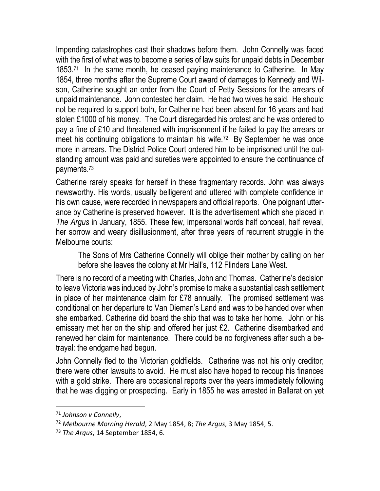Impending catastrophes cast their shadows before them. John Connelly was faced with the first of what was to become a series of law suits for unpaid debts in December 1853.<sup>71</sup> In the same month, he ceased paying maintenance to Catherine. In May 1854, three months after the Supreme Court award of damages to Kennedy and Wilson, Catherine sought an order from the Court of Petty Sessions for the arrears of unpaid maintenance. John contested her claim. He had two wives he said. He should not be required to support both, for Catherine had been absent for 16 years and had stolen £1000 of his money. The Court disregarded his protest and he was ordered to pay a fine of £10 and threatened with imprisonment if he failed to pay the arrears or meet his continuing obligations to maintain his wife.<sup>72</sup> By September he was once more in arrears. The District Police Court ordered him to be imprisoned until the outstanding amount was paid and sureties were appointed to ensure the continuance of payments.<sup>73</sup>

Catherine rarely speaks for herself in these fragmentary records. John was always newsworthy. His words, usually belligerent and uttered with complete confidence in his own cause, were recorded in newspapers and official reports. One poignant utterance by Catherine is preserved however. It is the advertisement which she placed in *The Argus* in January, 1855. These few, impersonal words half conceal, half reveal, her sorrow and weary disillusionment, after three years of recurrent struggle in the Melbourne courts:

The Sons of Mrs Catherine Connelly will oblige their mother by calling on her before she leaves the colony at Mr Hall's, 112 Flinders Lane West.

There is no record of a meeting with Charles, John and Thomas. Catherine's decision to leave Victoria was induced by John's promise to make a substantial cash settlement in place of her maintenance claim for £78 annually. The promised settlement was conditional on her departure to Van Dieman's Land and was to be handed over when she embarked. Catherine did board the ship that was to take her home. John or his emissary met her on the ship and offered her just £2. Catherine disembarked and renewed her claim for maintenance. There could be no forgiveness after such a betrayal: the endgame had begun.

John Connelly fled to the Victorian goldfields. Catherine was not his only creditor; there were other lawsuits to avoid. He must also have hoped to recoup his finances with a gold strike. There are occasional reports over the years immediately following that he was digging or prospecting. Early in 1855 he was arrested in Ballarat on yet

<sup>71</sup> *Johnson v Connelly*,

<sup>72</sup> *Melbourne Morning Herald*, 2 May 1854, 8; *The Argus*, 3 May 1854, 5.

<sup>73</sup> *The Argus*, 14 September 1854, 6.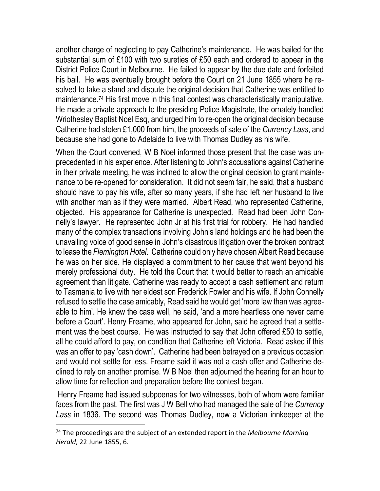another charge of neglecting to pay Catherine's maintenance. He was bailed for the substantial sum of £100 with two sureties of £50 each and ordered to appear in the District Police Court in Melbourne. He failed to appear by the due date and forfeited his bail. He was eventually brought before the Court on 21 June 1855 where he resolved to take a stand and dispute the original decision that Catherine was entitled to maintenance.<sup>74</sup> His first move in this final contest was characteristically manipulative. He made a private approach to the presiding Police Magistrate, the ornately handled Wriothesley Baptist Noel Esq, and urged him to re-open the original decision because Catherine had stolen £1,000 from him, the proceeds of sale of the *Currency Lass*, and because she had gone to Adelaide to live with Thomas Dudley as his wife.

When the Court convened, W B Noel informed those present that the case was unprecedented in his experience. After listening to John's accusations against Catherine in their private meeting, he was inclined to allow the original decision to grant maintenance to be re-opened for consideration. It did not seem fair, he said, that a husband should have to pay his wife, after so many years, if she had left her husband to live with another man as if they were married. Albert Read, who represented Catherine, objected. His appearance for Catherine is unexpected. Read had been John Connelly's lawyer. He represented John Jr at his first trial for robbery. He had handled many of the complex transactions involving John's land holdings and he had been the unavailing voice of good sense in John's disastrous litigation over the broken contract to lease the *Flemington Hotel*. Catherine could only have chosen Albert Read because he was on her side. He displayed a commitment to her cause that went beyond his merely professional duty. He told the Court that it would better to reach an amicable agreement than litigate. Catherine was ready to accept a cash settlement and return to Tasmania to live with her eldest son Frederick Fowler and his wife. If John Connelly refused to settle the case amicably, Read said he would get 'more law than was agreeable to him'. He knew the case well, he said, 'and a more heartless one never came before a Court'. Henry Freame, who appeared for John, said he agreed that a settlement was the best course. He was instructed to say that John offered £50 to settle, all he could afford to pay, on condition that Catherine left Victoria. Read asked if this was an offer to pay 'cash down'. Catherine had been betrayed on a previous occasion and would not settle for less. Freame said it was not a cash offer and Catherine declined to rely on another promise. W B Noel then adjourned the hearing for an hour to allow time for reflection and preparation before the contest began.

Henry Freame had issued subpoenas for two witnesses, both of whom were familiar faces from the past. The first was J W Bell who had managed the sale of the *Currency Lass* in 1836. The second was Thomas Dudley, now a Victorian innkeeper at the

<sup>74</sup> The proceedings are the subject of an extended report in the *Melbourne Morning Herald*, 22 June 1855, 6.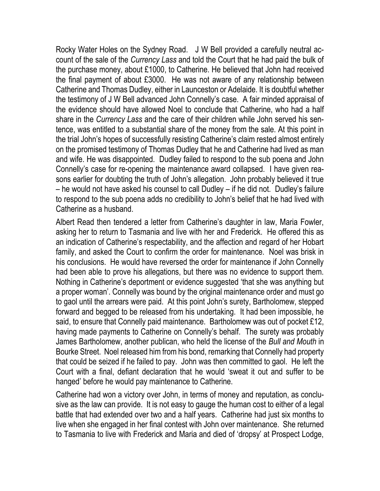Rocky Water Holes on the Sydney Road. J W Bell provided a carefully neutral account of the sale of the *Currency Lass* and told the Court that he had paid the bulk of the purchase money, about £1000, to Catherine. He believed that John had received the final payment of about £3000. He was not aware of any relationship between Catherine and Thomas Dudley, either in Launceston or Adelaide. It is doubtful whether the testimony of J W Bell advanced John Connelly's case. A fair minded appraisal of the evidence should have allowed Noel to conclude that Catherine, who had a half share in the *Currency Lass* and the care of their children while John served his sentence, was entitled to a substantial share of the money from the sale. At this point in the trial John's hopes of successfully resisting Catherine's claim rested almost entirely on the promised testimony of Thomas Dudley that he and Catherine had lived as man and wife. He was disappointed. Dudley failed to respond to the sub poena and John Connelly's case for re-opening the maintenance award collapsed. I have given reasons earlier for doubting the truth of John's allegation. John probably believed it true – he would not have asked his counsel to call Dudley – if he did not. Dudley's failure to respond to the sub poena adds no credibility to John's belief that he had lived with Catherine as a husband.

Albert Read then tendered a letter from Catherine's daughter in law, Maria Fowler, asking her to return to Tasmania and live with her and Frederick. He offered this as an indication of Catherine's respectability, and the affection and regard of her Hobart family, and asked the Court to confirm the order for maintenance. Noel was brisk in his conclusions. He would have reversed the order for maintenance if John Connelly had been able to prove his allegations, but there was no evidence to support them. Nothing in Catherine's deportment or evidence suggested 'that she was anything but a proper woman'. Connelly was bound by the original maintenance order and must go to gaol until the arrears were paid. At this point John's surety, Bartholomew, stepped forward and begged to be released from his undertaking. It had been impossible, he said, to ensure that Connelly paid maintenance. Bartholomew was out of pocket £12, having made payments to Catherine on Connelly's behalf. The surety was probably James Bartholomew, another publican, who held the license of the *Bull and Mouth* in Bourke Street. Noel released him from his bond, remarking that Connelly had property that could be seized if he failed to pay. John was then committed to gaol. He left the Court with a final, defiant declaration that he would 'sweat it out and suffer to be hanged' before he would pay maintenance to Catherine.

Catherine had won a victory over John, in terms of money and reputation, as conclusive as the law can provide. It is not easy to gauge the human cost to either of a legal battle that had extended over two and a half years. Catherine had just six months to live when she engaged in her final contest with John over maintenance. She returned to Tasmania to live with Frederick and Maria and died of 'dropsy' at Prospect Lodge,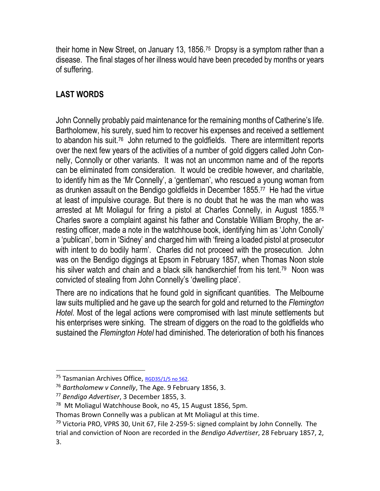their home in New Street, on January 13, 1856.<sup>75</sup> Dropsy is a symptom rather than a disease. The final stages of her illness would have been preceded by months or years of suffering.

## **LAST WORDS**

John Connelly probably paid maintenance for the remaining months of Catherine's life. Bartholomew, his surety, sued him to recover his expenses and received a settlement to abandon his suit.<sup>76</sup> John returned to the goldfields. There are intermittent reports over the next few years of the activities of a number of gold diggers called John Connelly, Connolly or other variants. It was not an uncommon name and of the reports can be eliminated from consideration. It would be credible however, and charitable, to identify him as the 'Mr Connelly', a 'gentleman', who rescued a young woman from as drunken assault on the Bendigo goldfields in December 1855.<sup>77</sup> He had the virtue at least of impulsive courage. But there is no doubt that he was the man who was arrested at Mt Moliagul for firing a pistol at Charles Connelly, in August 1855.<sup>78</sup> Charles swore a complaint against his father and Constable William Brophy, the arresting officer, made a note in the watchhouse book, identifying him as 'John Conolly' a 'publican', born in 'Sidney' and charged him with 'fireing a loaded pistol at prosecutor with intent to do bodily harm'. Charles did not proceed with the prosecution. John was on the Bendigo diggings at Epsom in February 1857, when Thomas Noon stole his silver watch and chain and a black silk handkerchief from his tent.<sup>79</sup> Noon was convicted of stealing from John Connelly's 'dwelling place'.

There are no indications that he found gold in significant quantities. The Melbourne law suits multiplied and he gave up the search for gold and returned to the *Flemington Hotel*. Most of the legal actions were compromised with last minute settlements but his enterprises were sinking. The stream of diggers on the road to the goldfields who sustained the *Flemington Hotel* had diminished. The deterioration of both his finances

<sup>&</sup>lt;sup>75</sup> Tasmanian Archives Office, [RGD35/1/5 no 562.](http://stors.tas.gov.au/RGD35-1-5p67j2k)

<sup>76</sup> *Bartholomew v Connelly*, The Age. 9 February 1856, 3.

<sup>77</sup> *Bendigo Advertiser*, 3 December 1855, 3.

<sup>78</sup> Mt Moliagul Watchhouse Book, no 45, 15 August 1856, 5pm.

Thomas Brown Connelly was a publican at Mt Moliagul at this time.

 $79$  Victoria PRO, VPRS 30, Unit 67, File 2-259-5: signed complaint by John Connelly. The trial and conviction of Noon are recorded in the *Bendigo Advertiser*, 28 February 1857, 2, 3.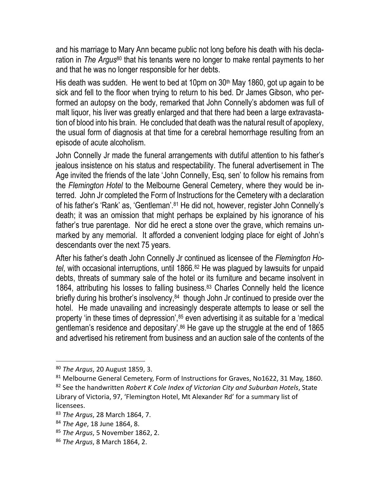and his marriage to Mary Ann became public not long before his death with his declaration in *The Argus*<sup>80</sup> that his tenants were no longer to make rental payments to her and that he was no longer responsible for her debts.

His death was sudden. He went to bed at 10pm on 30th May 1860, got up again to be sick and fell to the floor when trying to return to his bed. Dr James Gibson, who performed an autopsy on the body, remarked that John Connelly's abdomen was full of malt liquor, his liver was greatly enlarged and that there had been a large extravastation of blood into his brain. He concluded that death was the natural result of apoplexy, the usual form of diagnosis at that time for a cerebral hemorrhage resulting from an episode of acute alcoholism.

John Connelly Jr made the funeral arrangements with dutiful attention to his father's jealous insistence on his status and respectability. The funeral advertisement in The Age invited the friends of the late 'John Connelly, Esq, sen' to follow his remains from the *Flemington Hotel* to the Melbourne General Cemetery, where they would be interred. John Jr completed the Form of Instructions for the Cemetery with a declaration of his father's 'Rank' as, 'Gentleman'.<sup>81</sup> He did not, however, register John Connelly's death; it was an omission that might perhaps be explained by his ignorance of his father's true parentage. Nor did he erect a stone over the grave, which remains unmarked by any memorial. It afforded a convenient lodging place for eight of John's descendants over the next 75 years.

After his father's death John Connelly Jr continued as licensee of the *Flemington Hotel*, with occasional interruptions, until 1866.<sup>82</sup> He was plagued by lawsuits for unpaid debts, threats of summary sale of the hotel or its furniture and became insolvent in 1864, attributing his losses to falling business.<sup>83</sup> Charles Connelly held the licence briefly during his brother's insolvency,<sup>84</sup> though John Jr continued to preside over the hotel. He made unavailing and increasingly desperate attempts to lease or sell the property 'in these times of depression',<sup>85</sup> even advertising it as suitable for a 'medical gentleman's residence and depositary'.<sup>86</sup> He gave up the struggle at the end of 1865 and advertised his retirement from business and an auction sale of the contents of the

<sup>80</sup> *The Argus*, 20 August 1859, 3.

<sup>81</sup> Melbourne General Cemetery, Form of Instructions for Graves, No1622, 31 May, 1860.

<sup>82</sup> See the handwritten *Robert K Cole Index of Victorian City and Suburban Hotels*, State Library of Victoria, 97, 'Flemington Hotel, Mt Alexander Rd' for a summary list of licensees.

<sup>83</sup> *The Argus*, 28 March 1864, 7.

<sup>84</sup> *The Age*, 18 June 1864, 8.

<sup>85</sup> *The Argus*, 5 November 1862, 2.

<sup>86</sup> *The Argus*, 8 March 1864, 2.